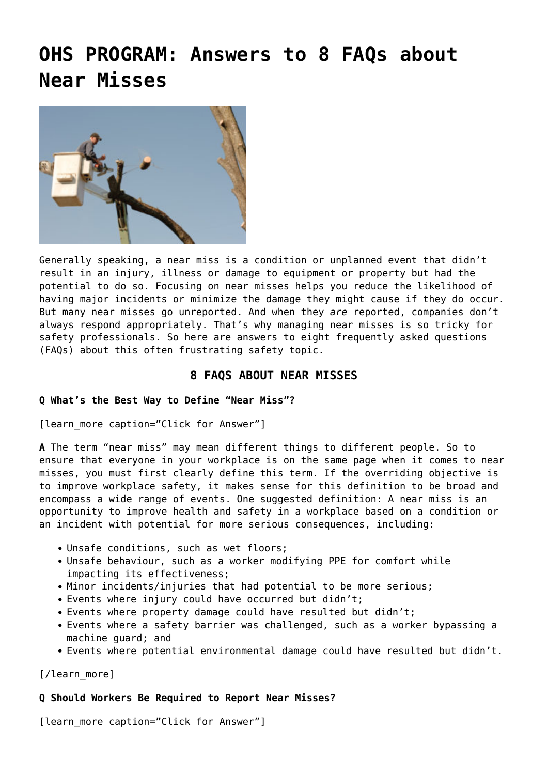# **[OHS PROGRAM: Answers to 8 FAQs about](https://ohsinsider.com/ohs-program-answers-to-8-faqs-about-near-misses/) [Near Misses](https://ohsinsider.com/ohs-program-answers-to-8-faqs-about-near-misses/)**



Generally speaking, a near miss is a condition or unplanned event that didn't result in an injury, illness or damage to equipment or property but had the potential to do so. Focusing on near misses helps you reduce the likelihood of having major incidents or minimize the damage they might cause if they do occur. But many near misses go unreported. And when they *are* reported, companies don't always respond appropriately. That's why managing near misses is so tricky for safety professionals. So here are answers to eight frequently asked questions (FAQs) about this often frustrating safety topic.

# **8 FAQS ABOUT NEAR MISSES**

# **Q What's the Best Way to Define "Near Miss"?**

[learn more caption="Click for Answer"]

**A** The term "near miss" may mean different things to different people. So to ensure that everyone in your workplace is on the same page when it comes to near misses, you must first clearly define this term. If the overriding objective is to improve workplace safety, it makes sense for this definition to be broad and encompass a wide range of events. One suggested definition: A near miss is an opportunity to improve health and safety in a workplace based on a condition or an incident with potential for more serious consequences, including:

- Unsafe conditions, such as wet floors;
- Unsafe behaviour, such as a worker modifying PPE for comfort while impacting its effectiveness;
- Minor incidents/injuries that had potential to be more serious;
- Events where injury could have occurred but didn't;
- Events where property damage could have resulted but didn't;
- Events where a safety barrier was challenged, such as a worker bypassing a machine guard; and
- Events where potential environmental damage could have resulted but didn't.

[/learn\_more]

# **Q Should Workers Be Required to Report Near Misses?**

[learn\_more caption="Click for Answer"]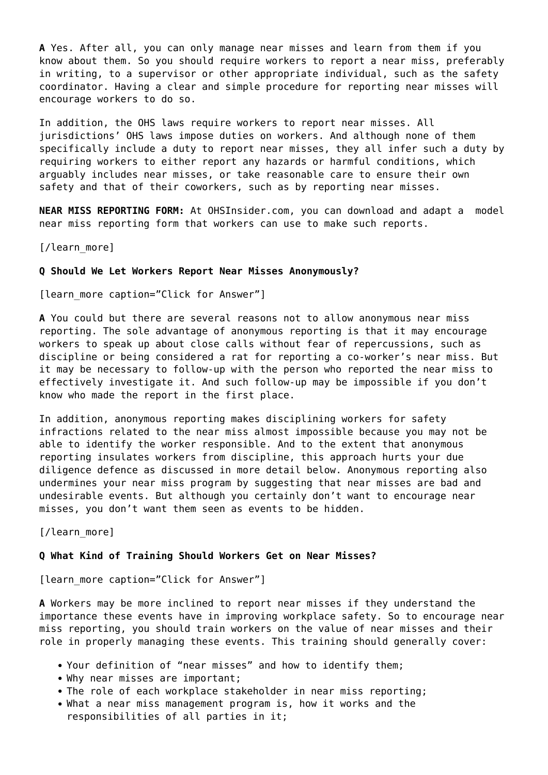**A** Yes. After all, you can only manage near misses and learn from them if you know about them. So you should require workers to report a near miss, preferably in writing, to a supervisor or other appropriate individual, such as the safety coordinator. Having a clear and simple procedure for reporting near misses will encourage workers to do so.

In addition, the OHS laws require workers to report near misses. All jurisdictions' OHS laws impose duties on workers. And although none of them specifically include a duty to report near misses, they all infer such a duty by requiring workers to either report any hazards or harmful conditions, which arguably includes near misses, or take reasonable care to ensure their own safety and that of their coworkers, such as by reporting near misses.

**NEAR MISS REPORTING FORM:** At [OHSInsider.com](http://www.ohsinsider.com/), you can download and adapt a [model](https://ohsinsider.com/search-by-index/accidentsincidents/model-near-miss-reporting-form) [near miss reporting form](https://ohsinsider.com/search-by-index/accidentsincidents/model-near-miss-reporting-form) that workers can use to make such reports.

[/learn\_more]

#### **Q Should We Let Workers Report Near Misses Anonymously?**

[learn more caption="Click for Answer"]

**A** You could but there are several reasons not to allow anonymous near miss reporting. The sole advantage of anonymous reporting is that it may encourage workers to speak up about close calls without fear of repercussions, such as discipline or being considered a rat for reporting a co-worker's near miss. But it may be necessary to follow-up with the person who reported the near miss to effectively investigate it. And such follow-up may be impossible if you don't know who made the report in the first place.

In addition, anonymous reporting makes disciplining workers for safety infractions related to the near miss almost impossible because you may not be able to identify the worker responsible. And to the extent that anonymous reporting insulates workers from discipline, this approach hurts your due diligence defence as discussed in more detail below. Anonymous reporting also undermines your near miss program by suggesting that near misses are bad and undesirable events. But although you certainly don't want to encourage near misses, you don't want them seen as events to be hidden.

[/learn more]

## **Q What Kind of Training Should Workers Get on Near Misses?**

[learn more caption="Click for Answer"]

**A** Workers may be more inclined to report near misses if they understand the importance these events have in improving workplace safety. So to encourage near miss reporting, you should train workers on the value of near misses and their role in properly managing these events. This training should generally cover:

- Your definition of "near misses" and how to identify them;
- Why near misses are important;
- The role of each workplace stakeholder in near miss reporting:
- What a near miss management program is, how it works and the responsibilities of all parties in it;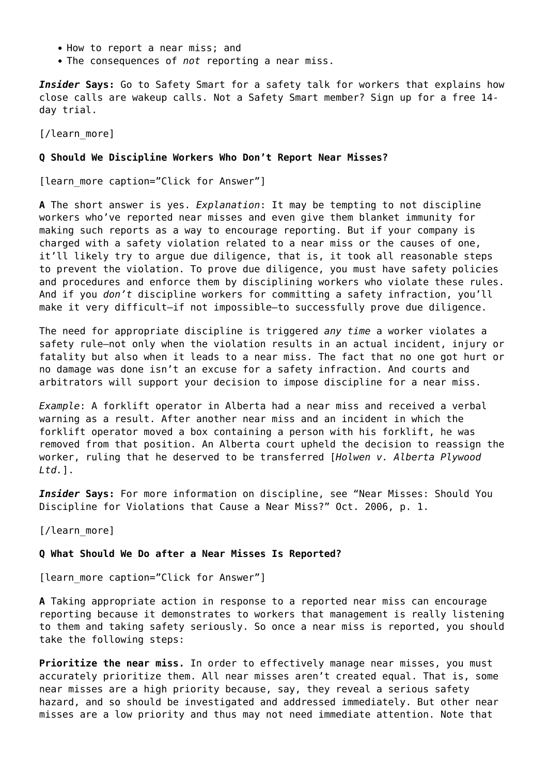- How to report a near miss; and
- The consequences of *not* reporting a near miss.

*Insider* **Says:** Go to [Safety Smart](http://www.safetysmart.com/safetysmart/Article.aspx?id=14077&articleId=21018) for a [safety talk](http://www.safetysmart.com/safetysmart/Article.aspx?id=9122&articleId=1997#.UQ72xqXomSo) for workers that explains how close calls are wakeup calls. Not a Safety Smart member? Sign up for a [free 14](http://www.safetysmart.com/safetysmart/LoginMoption.aspx?message=option&test=1) [day trial](http://www.safetysmart.com/safetysmart/LoginMoption.aspx?message=option&test=1).

[/learn\_more]

#### **Q Should We Discipline Workers Who Don't Report Near Misses?**

[learn more caption="Click for Answer"]

**A** The short answer is yes. *Explanation*: It may be tempting to not discipline workers who've reported near misses and even give them blanket immunity for making such reports as a way to encourage reporting. But if your company is charged with a safety violation related to a near miss or the causes of one, it'll likely try to argue due diligence, that is, it took all reasonable steps to prevent the violation. To prove due diligence, you must have safety policies and procedures and enforce them by disciplining workers who violate these rules. And if you *don't* discipline workers for committing a safety infraction, you'll make it very difficult—if not impossible—to successfully prove due diligence.

The need for appropriate discipline is triggered *any time* a worker violates a safety rule—not only when the violation results in an actual incident, injury or fatality but also when it leads to a near miss. The fact that no one got hurt or no damage was done isn't an excuse for a safety infraction. And courts and arbitrators will support your decision to impose discipline for a near miss.

*Example*: A forklift operator in Alberta had a near miss and received a verbal warning as a result. After another near miss and an incident in which the forklift operator moved a box containing a person with his forklift, he was removed from that position. An Alberta court upheld the decision to reassign the worker, ruling that he deserved to be transferred [*Holwen v. Alberta Plywood Ltd.*].

*Insider* **Says:** For more information on discipline, see ["Near Misses: Should You](https://ohsinsider.com/insider-top-stories/near-misses-should-you-discipline-for-violations-that-cause-a-near-miss) [Discipline for Violations that Cause a Near Miss?](https://ohsinsider.com/insider-top-stories/near-misses-should-you-discipline-for-violations-that-cause-a-near-miss)" Oct. 2006, p. 1.

[/learn more]

## **Q What Should We Do after a Near Misses Is Reported?**

[learn more caption="Click for Answer"]

**A** Taking appropriate action in response to a reported near miss can encourage reporting because it demonstrates to workers that management is really listening to them and taking safety seriously. So once a near miss is reported, you should take the following steps:

**Prioritize the near miss.** In order to effectively manage near misses, you must accurately prioritize them. All near misses aren't created equal. That is, some near misses are a high priority because, say, they reveal a serious safety hazard, and so should be investigated and addressed immediately. But other near misses are a low priority and thus may not need immediate attention. Note that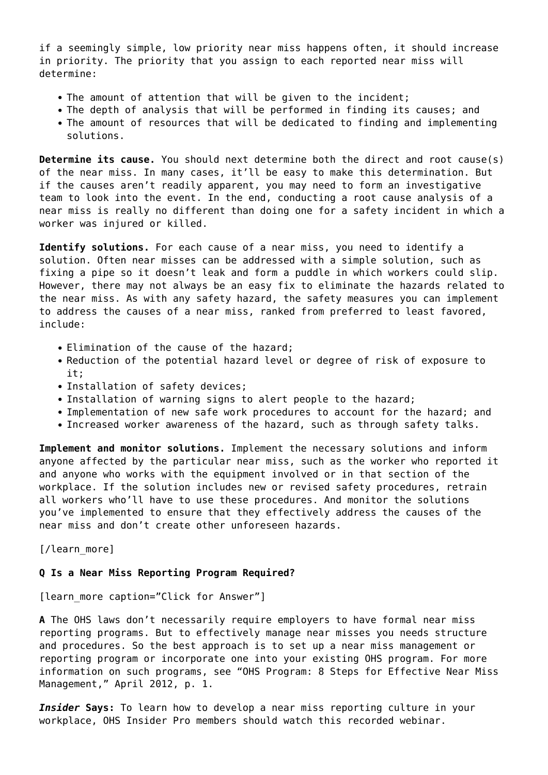if a seemingly simple, low priority near miss happens often, it should increase in priority. The priority that you assign to each reported near miss will determine:

- The amount of attention that will be given to the incident;
- The depth of analysis that will be performed in finding its causes; and
- The amount of resources that will be dedicated to finding and implementing solutions.

**Determine its cause.** You should next determine both the direct and root cause(s) of the near miss. In many cases, it'll be easy to make this determination. But if the causes aren't readily apparent, you may need to form an investigative team to look into the event. In the end, conducting a root cause analysis of a near miss is really no different than doing one for a safety incident in which a worker was injured or killed.

**Identify solutions.** For each cause of a near miss, you need to identify a solution. Often near misses can be addressed with a simple solution, such as fixing a pipe so it doesn't leak and form a puddle in which workers could slip. However, there may not always be an easy fix to eliminate the hazards related to the near miss. As with any safety hazard, the safety measures you can implement to address the causes of a near miss, ranked from preferred to least favored, include:

- Elimination of the cause of the hazard;
- Reduction of the potential hazard level or degree of risk of exposure to it;
- Installation of safety devices;
- Installation of warning signs to alert people to the hazard;
- Implementation of new safe work procedures to account for the hazard; and
- Increased worker awareness of the hazard, such as through safety talks.

**Implement and monitor solutions.** Implement the necessary solutions and inform anyone affected by the particular near miss, such as the worker who reported it and anyone who works with the equipment involved or in that section of the workplace. If the solution includes new or revised safety procedures, retrain all workers who'll have to use these procedures. And monitor the solutions you've implemented to ensure that they effectively address the causes of the near miss and don't create other unforeseen hazards.

[/learn\_more]

#### **Q Is a Near Miss Reporting Program Required?**

[learn more caption="Click for Answer"]

**A** The OHS laws don't necessarily require employers to have formal near miss reporting programs. But to effectively manage near misses you needs structure and procedures. So the best approach is to set up a near miss management or reporting program or incorporate one into your existing OHS program. For more information on such programs, see "[OHS Program: 8 Steps for Effective Near Miss](https://ohsinsider.com/search-by-index/accidentsincidents/ohs-program-8-steps-for-effective-near-miss-management) [Management,](https://ohsinsider.com/search-by-index/accidentsincidents/ohs-program-8-steps-for-effective-near-miss-management)" April 2012, p. 1.

*Insider* **Says:** To learn how to develop a near miss reporting culture in your workplace, OHS Insider Pro members should watch this [recorded webinar.](https://ohsinsider.com/search-by-index/accidentsincidents/stopping-injuries-before-they-happen-how-to-create-a-near-miss-reporting-culture)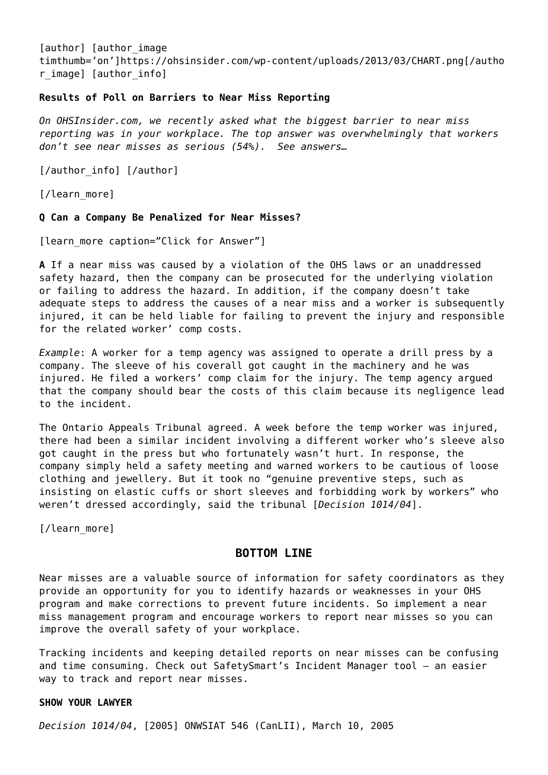[author] [author image timthumb='on']https://ohsinsider.com/wp-content/uploads/2013/03/CHART.png[/autho r image] [author info]

## **[Results of Poll on Barriers to Near Miss Reporting](https://ohsinsider.com/insider-top-stories/results-of-poll-on-barriers-to-near-miss-reporting)**

*On [OHSInsider.com,](http://www.ohsinsider.com/) we recently asked what the biggest barrier to near miss reporting was in your workplace. The top answer was overwhelmingly that workers don't see near misses as serious (54%). See answers…*

[/author\_info] [/author]

[/learn\_more]

## **Q Can a Company Be Penalized for Near Misses?**

[learn more caption="Click for Answer"]

**A** If a near miss was caused by a violation of the OHS laws or an unaddressed safety hazard, then the company can be prosecuted for the underlying violation or failing to address the hazard. In addition, if the company doesn't take adequate steps to address the causes of a near miss and a worker is subsequently injured, it can be held liable for failing to prevent the injury and responsible for the related worker' comp costs.

*Example*: A worker for a temp agency was assigned to operate a drill press by a company. The sleeve of his coverall got caught in the machinery and he was injured. He filed a workers' comp claim for the injury. The temp agency argued that the company should bear the costs of this claim because its negligence lead to the incident.

The Ontario Appeals Tribunal agreed. A week before the temp worker was injured, there had been a similar incident involving a different worker who's sleeve also got caught in the press but who fortunately wasn't hurt. In response, the company simply held a safety meeting and warned workers to be cautious of loose clothing and jewellery. But it took no "genuine preventive steps, such as insisting on elastic cuffs or short sleeves and forbidding work by workers" who weren't dressed accordingly, said the tribunal [*Decision 1014/04*].

[/learn more]

# **BOTTOM LINE**

Near misses are a valuable source of information for safety coordinators as they provide an opportunity for you to identify hazards or weaknesses in your OHS program and make corrections to prevent future incidents. So implement a near miss management program and encourage workers to report near misses so you can improve the overall safety of your workplace.

Tracking incidents and keeping detailed reports on near misses can be confusing and time consuming. Check out SafetySmart's [Incident Manager tool](http://www.bongarde.com/customers/safety-customers/press-room/safetysmart-adds-incident-and-close-call-management/) – an easier way to track and report near misses.

## **SHOW YOUR LAWYER**

*[Decision 1014/04](http://www.canlii.org/en/on/onwsiat/doc/2005/2005onwsiat546/2005onwsiat546.pdf)*, [2005] ONWSIAT 546 (CanLII), March 10, 2005